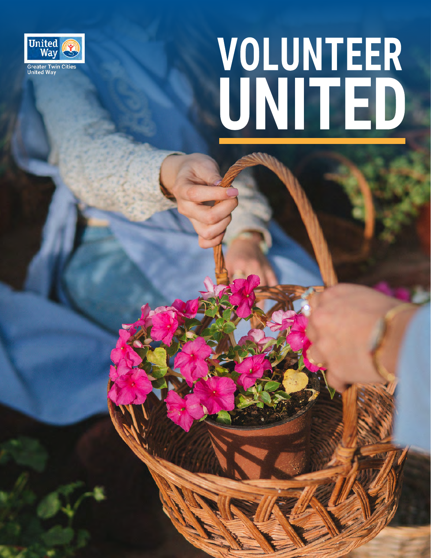

## VOLUNTEER<br>UNITED